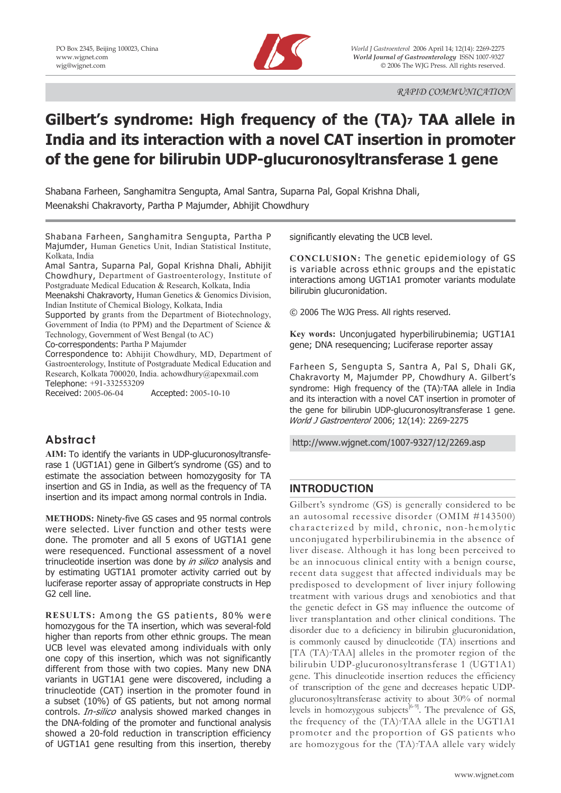

# **Gilbert's syndrome: High frequency of the (TA)7 TAA allele in India and its interaction with a novel CAT insertion in promoter of the gene for bilirubin UDP-glucuronosyltransferase 1 gene**

Shabana Farheen, Sanghamitra Sengupta, Amal Santra, Suparna Pal, Gopal Krishna Dhali, Meenakshi Chakravorty, Partha P Majumder, Abhijit Chowdhury

Shabana Farheen, Sanghamitra Sengupta, Partha P Majumder, Human Genetics Unit, Indian Statistical Institute, Kolkata, India

Amal Santra, Suparna Pal, Gopal Krishna Dhali, Abhijit Chowdhury, Department of Gastroenterology, Institute of Postgraduate Medical Education & Research, Kolkata, India Meenakshi Chakravorty, Human Genetics & Genomics Division, Indian Institute of Chemical Biology, Kolkata, India

Supported by grants from the Department of Biotechnology, Government of India (to PPM) and the Department of Science & Technology, Government of West Bengal (to AC)

Co-correspondents: Partha P Majumder

Correspondence to: Abhijit Chowdhury, MD, Department of Gastroenterology, Institute of Postgraduate Medical Education and Research, Kolkata 700020, India. achowdhury@apexmail.com Telephone: +91-332553209

Received: 2005-06-04 Accepted: 2005-10-10

# **Abstract**

**AIM:** To identify the variants in UDP-glucuronosyltransferase 1 (UGT1A1) gene in Gilbert's syndrome (GS) and to estimate the association between homozygosity for TA insertion and GS in India, as well as the frequency of TA insertion and its impact among normal controls in India.

**METHODS:** Ninety-five GS cases and 95 normal controls were selected. Liver function and other tests were done. The promoter and all 5 exons of UGT1A1 gene were resequenced. Functional assessment of a novel trinucleotide insertion was done by in silico analysis and by estimating UGT1A1 promoter activity carried out by luciferase reporter assay of appropriate constructs in Hep G2 cell line.

**RESULTS:** Among the GS patients, 80% were homozygous for the TA insertion, which was several-fold higher than reports from other ethnic groups. The mean UCB level was elevated among individuals with only one copy of this insertion, which was not significantly different from those with two copies. Many new DNA variants in UGT1A1 gene were discovered, including a trinucleotide (CAT) insertion in the promoter found in a subset (10%) of GS patients, but not among normal controls. *In-silico* analysis showed marked changes in the DNA-folding of the promoter and functional analysis showed a 20-fold reduction in transcription efficiency of UGT1A1 gene resulting from this insertion, thereby significantly elevating the UCB level.

**CONCLUSION:** The genetic epidemiology of GS is variable across ethnic groups and the epistatic interactions among UGT1A1 promoter variants modulate bilirubin glucuronidation.

© 2006 The WJG Press. All rights reserved.

**Key words:** Unconjugated hyperbilirubinemia; UGT1A1 gene; DNA resequencing; Luciferase reporter assay

Farheen S, Sengupta S, Santra A, Pal S, Dhali GK, Chakravorty M, Majumder PP, Chowdhury A. Gilbert's syndrome: High frequency of the (TA)<sup>7</sup>TAA allele in India and its interaction with a novel CAT insertion in promoter of the gene for bilirubin UDP-glucuronosyltransferase 1 gene. World J Gastroenterol 2006; 12(14): 2269-2275

http://www.wjgnet.com/1007-9327/12/2269.asp

# **INTRODUCTION**

Gilbert's syndrome (GS) is generally considered to be an autosomal recessive disorder (OMIM #143500) characterized by mild, chronic, non-hemolytic unconjugated hyperbilirubinemia in the absence of liver disease. Although it has long been perceived to be an innocuous clinical entity with a benign course, recent data suggest that affected individuals may be predisposed to development of liver injury following treatment with various drugs and xenobiotics and that the genetic defect in GS may influence the outcome of liver transplantation and other clinical conditions. The disorder due to a deficiency in bilirubin glucuronidation, is commonly caused by dinucleotide (TA) insertions and [TA (TA)7TAA] alleles in the promoter region of the bilirubin UDP-glucuronosyltransferase 1 (UGT1A1) gene. This dinucleotide insertion reduces the efficiency of transcription of the gene and decreases hepatic UDPglucuronosyltransferase activity to about 30% of normal levels in homozygous subjects<sup>[6-9]</sup>. The prevalence of GS, the frequency of the (TA)7TAA allele in the UGT1A1 promoter and the proportion of GS patients who are homozygous for the (TA)7TAA allele vary widely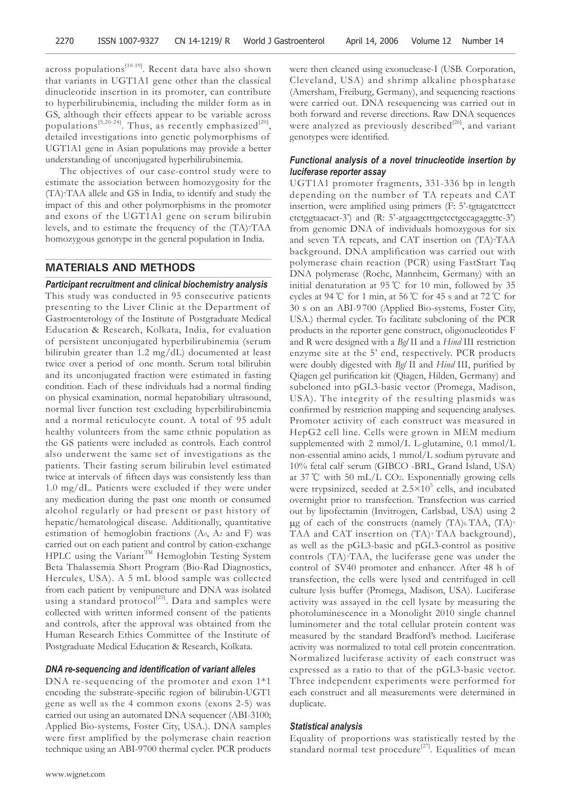across populations<sup>[10-19]</sup>. Recent data have also shown that variants in UGT1A1 gene other than the classical dinucleotide insertion in its promoter, can contribute to hyperbilirubinemia, including the milder form as in GS, although their effects appear to be variable across populations<sup>[5,20-24]</sup>. Thus, as recently emphasized<sup>[20]</sup>, detailed investigations into genetic polymorphisms of UGT1A1 gene in Asian populations may provide a better understanding of unconjugated hyperbilirubinemia.

 The objectives of our case-control study were to estimate the association between homozygosity for the (TA)7TAA allele and GS in India, to identify and study the impact of this and other polymorphisms in the promoter and exons of the UGT1A1 gene on serum bilirubin levels, and to estimate the frequency of the (TA)7TAA homozygous genotype in the general population in India.

## **MATERIALS AND METHODS**

*Participant recruitment and clinical biochemistry analysis* This study was conducted in 95 consecutive patients presenting to the Liver Clinic at the Department of Gastroenterology of the Institute of Postgraduate Medical Education & Research, Kolkata, India, for evaluation of persistent unconjugated hyperbilirubinemia (serum bilirubin greater than 1.2 mg/dL) documented at least twice over a period of one month. Serum total bilirubin and its unconjugated fraction were estimated in fasting condition. Each of these individuals had a normal finding on physical examination, normal hepatobiliary ultrasound, normal liver function test excluding hyperbilirubinemia and a normal reticulocyte count. A total of 95 adult healthy volunteers from the same ethnic population as the GS patients were included as controls. Each control also underwent the same set of investigations as the patients. Their fasting serum bilirubin level estimated twice at intervals of fifteen days was consistently less than 1.0 mg/dL. Patients were excluded if they were under any medication during the past one month or consumed alcohol regularly or had present or past history of hepatic/hematological disease. Additionally, quantitative estimation of hemoglobin fractions (A0, A2 and F) was carried out on each patient and control by cation-exchange HPLC using the Variant<sup>TM</sup> Hemoglobin Testing System Beta Thalassemia Short Program (Bio-Rad Diagnostics, Hercules, USA). A 5 mL blood sample was collected from each patient by venipuncture and DNA was isolated using a standard protocol<sup>[25]</sup>. Data and samples were collected with written informed consent of the patients and controls, after the approval was obtained from the Human Research Ethics Committee of the Institute of Postgraduate Medical Education & Research, Kolkata.

#### *DNA re-sequencing and identification of variant alleles*

DNA re-sequencing of the promoter and exon 1\*1 encoding the substrate-specific region of bilirubin-UGT1 gene as well as the 4 common exons (exons 2-5) was carried out using an automated DNA sequencer (ABI-3100; Applied Bio-systems, Foster City, USA.). DNA samples were first amplified by the polymerase chain reaction technique using an ABI-9700 thermal cycler. PCR products were then cleaned using exonuclease-I (USB. Corporation, Cleveland, USA) and shrimp alkaline phosphatase (Amersham, Freiburg, Germany), and sequencing reactions were carried out. DNA resequencing was carried out in both forward and reverse directions. Raw DNA sequences were analyzed as previously described<sup>[26]</sup>, and variant genotypes were identified.

# *Functional analysis of a novel trinucleotide insertion by luciferase reporter assay*

UGT1A1 promoter fragments, 331-336 bp in length depending on the number of TA repeats and CAT insertion, were amplified using primers (F: 5'-tgtagatcttcct ctctggtaacact-3') and (R: 5'-atgaagctttgctcctgccagaggttc-3') from genomic DNA of individuals homozygous for six and seven TA repeats, and CAT insertion on (TA)7TAA background. DNA amplification was carried out with polymerase chain reaction (PCR) using FastStart Taq DNA polymerase (Roche, Mannheim, Germany) with an initial denaturation at 95 ℃ for 10 min, followed by 35 cycles at 94 ℃ for 1 min, at 56 ℃ for 45 s and at 72 ℃ for 30 s on an ABI-9 700 (Applied Bio-systems, Foster City, USA.) thermal cycler. To facilitate subcloning of the PCR products in the reporter gene construct, oligonucleotides F and R were designed with a *Bgl* II and a *Hind* III restriction enzyme site at the 5' end, respectively. PCR products were doubly digested with *Bgl* II and *Hind* III, purified by Qiagen gel purification kit (Qiagen, Hilden, Germany) and subcloned into pGL3-basic vector (Promega, Madison, USA). The integrity of the resulting plasmids was confirmed by restriction mapping and sequencing analyses. Promoter activity of each construct was measured in HepG2 cell line. Cells were grown in MEM medium supplemented with 2 mmol/L L-glutamine, 0.1 mmol/L non-essential amino acids, 1 mmol/L sodium pyruvate and 10% fetal calf serum (GIBCO -BRL, Grand Island, USA) at 37 ℃ with 50 mL/L CO2. Exponentially growing cells were trypsinized, seeded at  $2.5 \times 10^5$  cells, and incubated overnight prior to transfection. Transfection was carried out by lipofectamin (Invitrogen, Carlsbad, USA) using 2 ug of each of the constructs (namely  $(TA)$ 6 TAA,  $(TA)$ 7 TAA and CAT insertion on (TA)7 TAA background), as well as the pGL3-basic and pGL3-control as positive controls (TA)7TAA, the luciferase gene was under the control of SV40 promoter and enhancer. After 48 h of transfection, the cells were lysed and centrifuged in cell culture lysis buffer (Promega, Madison, USA). Luciferase activity was assayed in the cell lysate by measuring the photoluminescence in a Monolight 2010 single channel luminometer and the total cellular protein content was measured by the standard Bradford's method. Luciferase activity was normalized to total cell protein concentration. Normalized luciferase activity of each construct was expressed as a ratio to that of the pGL3-basic vector. Three independent experiments were performed for each construct and all measurements were determined in duplicate.

# *Statistical analysis*

Equality of proportions was statistically tested by the standard normal test procedure<sup>[27]</sup>. Equalities of mean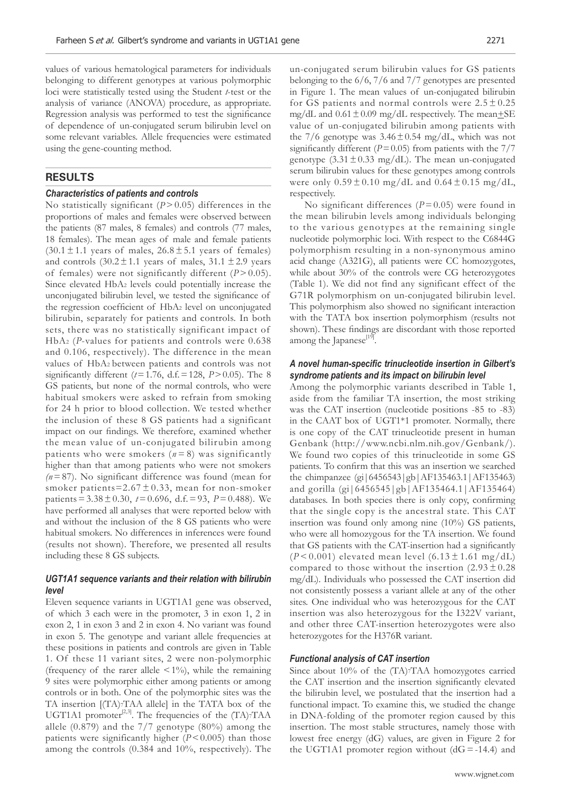values of various hematological parameters for individuals belonging to different genotypes at various polymorphic loci were statistically tested using the Student *t*-test or the analysis of variance (ANOVA) procedure, as appropriate. Regression analysis was performed to test the significance of dependence of un-conjugated serum bilirubin level on some relevant variables. Allele frequencies were estimated using the gene-counting method.

# **RESULTS**

#### *Characteristics of patients and controls*

No statistically significant  $(P > 0.05)$  differences in the proportions of males and females were observed between the patients (87 males, 8 females) and controls (77 males, 18 females). The mean ages of male and female patients  $(30.1 \pm 1.1)$  years of males,  $26.8 \pm 5.1$  years of females) and controls  $(30.2 \pm 1.1)$  years of males,  $31.1 \pm 2.9$  years of females) were not significantly different  $(P > 0.05)$ . Since elevated HbA2 levels could potentially increase the unconjugated bilirubin level, we tested the significance of the regression coefficient of HbA2 level on unconjugated bilirubin, separately for patients and controls. In both sets, there was no statistically significant impact of HbA2 (*P*-values for patients and controls were 0.638 and 0.106, respectively). The difference in the mean values of HbA2 between patients and controls was not significantly different ( $t = 1.76$ , d.f.  $= 128$ ,  $P > 0.05$ ). The 8 GS patients, but none of the normal controls, who were habitual smokers were asked to refrain from smoking for 24 h prior to blood collection. We tested whether the inclusion of these 8 GS patients had a significant impact on our findings. We therefore, examined whether the mean value of un-conjugated bilirubin among patients who were smokers  $(n=8)$  was significantly higher than that among patients who were not smokers  $(n=87)$ . No significant difference was found (mean for smoker patients= $2.67 \pm 0.33$ , mean for non-smoker patients =  $3.38 \pm 0.30$ ,  $t = 0.696$ , d.f. = 93,  $P = 0.488$ ). We have performed all analyses that were reported below with and without the inclusion of the 8 GS patients who were habitual smokers. No differences in inferences were found (results not shown). Therefore, we presented all results including these 8 GS subjects.

# *UGT1A1 sequence variants and their relation with bilirubin level*

Eleven sequence variants in UGT1A1 gene was observed, of which 3 each were in the promoter, 3 in exon 1, 2 in exon 2, 1 in exon 3 and 2 in exon 4. No variant was found in exon 5. The genotype and variant allele frequencies at these positions in patients and controls are given in Table 1. Of these 11 variant sites, 2 were non-polymorphic (frequency of the rarer allele  $\leq 1\%$ ), while the remaining 9 sites were polymorphic either among patients or among controls or in both. One of the polymorphic sites was the TA insertion [(TA)7TAA allele] in the TATA box of the UGT1A1 promoter<sup>[2,3]</sup>. The frequencies of the  $(TA)7TAA$ allele  $(0.879)$  and the  $7/7$  genotype  $(80\%)$  among the patients were significantly higher (*P* < 0.005) than those among the controls (0.384 and 10%, respectively). The

un-conjugated serum bilirubin values for GS patients belonging to the 6/6, 7/6 and 7/7 genotypes are presented in Figure 1. The mean values of un-conjugated bilirubin for GS patients and normal controls were  $2.5 \pm 0.25$ mg/dL and  $0.61 \pm 0.09$  mg/dL respectively. The mean $\pm$ SE value of un-conjugated bilirubin among patients with the 7/6 genotype was  $3.46 \pm 0.54$  mg/dL, which was not significantly different ( $P = 0.05$ ) from patients with the  $7/7$ genotype  $(3.31 \pm 0.33 \text{ mg/dL})$ . The mean un-conjugated serum bilirubin values for these genotypes among controls were only  $0.59 \pm 0.10$  mg/dL and  $0.64 \pm 0.15$  mg/dL, respectively.

No significant differences  $(P=0.05)$  were found in the mean bilirubin levels among individuals belonging to the various genotypes at the remaining single nucleotide polymorphic loci. With respect to the C6844G polymorphism resulting in a non-synonymous amino acid change (A321G), all patients were CC homozygotes, while about 30% of the controls were CG heterozygotes (Table 1). We did not find any significant effect of the G71R polymorphism on un-conjugated bilirubin level. This polymorphism also showed no significant interaction with the TATA box insertion polymorphism (results not shown). These findings are discordant with those reported among the Japanese<sup>[19]</sup>.

## *A novel human-specific trinucleotide insertion in Gilbert's syndrome patients and its impact on bilirubin level*

Among the polymorphic variants described in Table 1, aside from the familiar TA insertion, the most striking was the CAT insertion (nucleotide positions -85 to -83) in the CAAT box of UGT1\*1 promoter. Normally, there is one copy of the CAT trinucleotide present in human Genbank (http://www.ncbi.nlm.nih.gov/Genbank/). We found two copies of this trinucleotide in some GS patients. To confirm that this was an insertion we searched the chimpanzee (gi|6456543|gb|AF135463.1|AF135463) and gorilla (gi|6456545|gb|AF135464.1|AF135464) databases. In both species there is only copy, confirming that the single copy is the ancestral state. This CAT insertion was found only among nine (10%) GS patients, who were all homozygous for the TA insertion. We found that GS patients with the CAT-insertion had a significantly  $(P< 0.001)$  elevated mean level  $(6.13 \pm 1.61 \text{ mg/dL})$ compared to those without the insertion  $(2.93 \pm 0.28)$ mg/dL). Individuals who possessed the CAT insertion did not consistently possess a variant allele at any of the other sites. One individual who was heterozygous for the CAT insertion was also heterozygous for the I322V variant, and other three CAT-insertion heterozygotes were also heterozygotes for the H376R variant.

## *Functional analysis of CAT insertion*

Since about 10% of the (TA)7TAA homozygotes carried the CAT insertion and the insertion significantly elevated the bilirubin level, we postulated that the insertion had a functional impact. To examine this, we studied the change in DNA-folding of the promoter region caused by this insertion. The most stable structures, namely those with lowest free energy (dG) values, are given in Figure 2 for the UGT1A1 promoter region without  $(dG = -14.4)$  and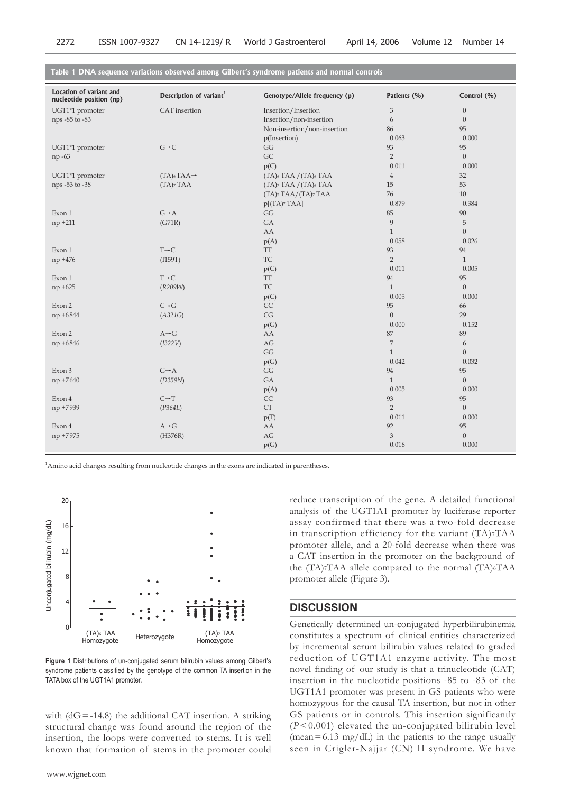| 3<br>UGT1*1 promoter<br>CAT insertion<br>Insertion/Insertion<br>$\mathbf{0}$<br>$\boldsymbol{0}$<br>nps -85 to -83<br>Insertion/non-insertion<br>6<br>Non-insertion/non-insertion<br>86<br>95<br>p(Insertion)<br>0.063<br>0.000<br>$G\neg C$<br>GG<br>93<br>95<br>UGT1*1 promoter<br>$\overline{2}$<br>GC<br>$\boldsymbol{0}$<br>np -63<br>p(C)<br>0.011<br>0.000<br>$(TA)$ 6 $TAA \rightarrow$<br>$(TA)$ 6 TAA / $(TA)$ 6 TAA<br>$\sqrt{4}$<br>UGT1*1 promoter<br>32<br>$(TA)$ <sub>7</sub> TAA $/(TA)$ <sub>6</sub> TAA<br>15<br>53<br>nps -53 to -38<br>$(TA)$ <sub>7</sub> $TAA$<br>$(TA)$ <sub>7</sub> TAA/ $(TA)$ <sub>7</sub> TAA<br>76<br>$10\,$<br>$p[(TA)$ TAA]<br>0.879<br>0.384<br>GG<br>85<br>90<br>Exon 1<br>$G \rightarrow A$<br>$\boldsymbol{9}$<br>$\mathbf 5$<br>(G71R)<br>GA<br>np +211 | Location of variant and<br>nucleotide position (np) | Description of variant <sup>1</sup> | Genotype/Allele frequency (p) | Patients (%) | Control (%)  |
|------------------------------------------------------------------------------------------------------------------------------------------------------------------------------------------------------------------------------------------------------------------------------------------------------------------------------------------------------------------------------------------------------------------------------------------------------------------------------------------------------------------------------------------------------------------------------------------------------------------------------------------------------------------------------------------------------------------------------------------------------------------------------------------------------------|-----------------------------------------------------|-------------------------------------|-------------------------------|--------------|--------------|
|                                                                                                                                                                                                                                                                                                                                                                                                                                                                                                                                                                                                                                                                                                                                                                                                            |                                                     |                                     |                               |              |              |
|                                                                                                                                                                                                                                                                                                                                                                                                                                                                                                                                                                                                                                                                                                                                                                                                            |                                                     |                                     |                               |              |              |
|                                                                                                                                                                                                                                                                                                                                                                                                                                                                                                                                                                                                                                                                                                                                                                                                            |                                                     |                                     |                               |              |              |
|                                                                                                                                                                                                                                                                                                                                                                                                                                                                                                                                                                                                                                                                                                                                                                                                            |                                                     |                                     |                               |              |              |
|                                                                                                                                                                                                                                                                                                                                                                                                                                                                                                                                                                                                                                                                                                                                                                                                            |                                                     |                                     |                               |              |              |
|                                                                                                                                                                                                                                                                                                                                                                                                                                                                                                                                                                                                                                                                                                                                                                                                            |                                                     |                                     |                               |              |              |
|                                                                                                                                                                                                                                                                                                                                                                                                                                                                                                                                                                                                                                                                                                                                                                                                            |                                                     |                                     |                               |              |              |
|                                                                                                                                                                                                                                                                                                                                                                                                                                                                                                                                                                                                                                                                                                                                                                                                            |                                                     |                                     |                               |              |              |
|                                                                                                                                                                                                                                                                                                                                                                                                                                                                                                                                                                                                                                                                                                                                                                                                            |                                                     |                                     |                               |              |              |
|                                                                                                                                                                                                                                                                                                                                                                                                                                                                                                                                                                                                                                                                                                                                                                                                            |                                                     |                                     |                               |              |              |
|                                                                                                                                                                                                                                                                                                                                                                                                                                                                                                                                                                                                                                                                                                                                                                                                            |                                                     |                                     |                               |              |              |
|                                                                                                                                                                                                                                                                                                                                                                                                                                                                                                                                                                                                                                                                                                                                                                                                            |                                                     |                                     |                               |              |              |
|                                                                                                                                                                                                                                                                                                                                                                                                                                                                                                                                                                                                                                                                                                                                                                                                            |                                                     |                                     |                               |              |              |
|                                                                                                                                                                                                                                                                                                                                                                                                                                                                                                                                                                                                                                                                                                                                                                                                            |                                                     |                                     | AA                            | $\mathbf{1}$ | $\mathbf{0}$ |
| 0.058<br>0.026<br>p(A)                                                                                                                                                                                                                                                                                                                                                                                                                                                                                                                                                                                                                                                                                                                                                                                     |                                                     |                                     |                               |              |              |
| $T \rightarrow C$<br>93<br>94<br>Exon 1<br><b>TT</b>                                                                                                                                                                                                                                                                                                                                                                                                                                                                                                                                                                                                                                                                                                                                                       |                                                     |                                     |                               |              |              |
| 2<br>(I159T)<br>TC<br>$\mathbf{1}$<br>np +476                                                                                                                                                                                                                                                                                                                                                                                                                                                                                                                                                                                                                                                                                                                                                              |                                                     |                                     |                               |              |              |
| 0.011<br>0.005<br>p(C)                                                                                                                                                                                                                                                                                                                                                                                                                                                                                                                                                                                                                                                                                                                                                                                     |                                                     |                                     |                               |              |              |
| $T \rightarrow C$<br>94<br>95<br>Exon 1<br><b>TT</b>                                                                                                                                                                                                                                                                                                                                                                                                                                                                                                                                                                                                                                                                                                                                                       |                                                     |                                     |                               |              |              |
| <b>TC</b><br>$\mathbf{0}$<br>(R209W)<br>$\mathbf{1}$<br>np +625                                                                                                                                                                                                                                                                                                                                                                                                                                                                                                                                                                                                                                                                                                                                            |                                                     |                                     |                               |              |              |
| 0.005<br>0.000<br>p(C)                                                                                                                                                                                                                                                                                                                                                                                                                                                                                                                                                                                                                                                                                                                                                                                     |                                                     |                                     |                               |              |              |
| $C \rightarrow G$<br>CC<br>95<br>Exon 2<br>66                                                                                                                                                                                                                                                                                                                                                                                                                                                                                                                                                                                                                                                                                                                                                              |                                                     |                                     |                               |              |              |
| 29<br>(A321G)<br>CG<br>$\mathbf{0}$<br>np +6844                                                                                                                                                                                                                                                                                                                                                                                                                                                                                                                                                                                                                                                                                                                                                            |                                                     |                                     |                               |              |              |
| 0.000<br>0.152<br>p(G)                                                                                                                                                                                                                                                                                                                                                                                                                                                                                                                                                                                                                                                                                                                                                                                     |                                                     |                                     |                               |              |              |
| $87\,$<br>89<br>Exon 2<br>$A \rightarrow G$<br>AA                                                                                                                                                                                                                                                                                                                                                                                                                                                                                                                                                                                                                                                                                                                                                          |                                                     |                                     |                               |              |              |
| (I322V)<br>AG<br>$\overline{7}$<br>$\boldsymbol{6}$<br>np +6846                                                                                                                                                                                                                                                                                                                                                                                                                                                                                                                                                                                                                                                                                                                                            |                                                     |                                     |                               |              |              |
| $\mathbb{G}\mathbb{G}$<br>$\mathbf{0}$<br>$\mathbf{1}$                                                                                                                                                                                                                                                                                                                                                                                                                                                                                                                                                                                                                                                                                                                                                     |                                                     |                                     |                               |              |              |
| 0.042<br>0.032<br>p(G)                                                                                                                                                                                                                                                                                                                                                                                                                                                                                                                                                                                                                                                                                                                                                                                     |                                                     |                                     |                               |              |              |
| $G \rightarrow A$<br>$\mathbb{G}\mathbb{G}$<br>94<br>95<br>Exon 3                                                                                                                                                                                                                                                                                                                                                                                                                                                                                                                                                                                                                                                                                                                                          |                                                     |                                     |                               |              |              |
| $\mathbf{1}$<br>$\boldsymbol{0}$<br>(D359N)<br>GA<br>np +7640                                                                                                                                                                                                                                                                                                                                                                                                                                                                                                                                                                                                                                                                                                                                              |                                                     |                                     |                               |              |              |
| 0.005<br>0.000<br>p(A)                                                                                                                                                                                                                                                                                                                                                                                                                                                                                                                                                                                                                                                                                                                                                                                     |                                                     |                                     |                               |              |              |
| $C \rightarrow T$<br>93<br>CC<br>95<br>Exon 4                                                                                                                                                                                                                                                                                                                                                                                                                                                                                                                                                                                                                                                                                                                                                              |                                                     |                                     |                               |              |              |
| <b>CT</b><br>$\overline{2}$<br>$\boldsymbol{0}$<br>np +7939<br>(P364L)                                                                                                                                                                                                                                                                                                                                                                                                                                                                                                                                                                                                                                                                                                                                     |                                                     |                                     |                               |              |              |
| 0.011<br>0.000<br>p(T)                                                                                                                                                                                                                                                                                                                                                                                                                                                                                                                                                                                                                                                                                                                                                                                     |                                                     |                                     |                               |              |              |
| 92<br>95<br>Exon 4<br>$A \rightarrow G$<br>AA                                                                                                                                                                                                                                                                                                                                                                                                                                                                                                                                                                                                                                                                                                                                                              |                                                     |                                     |                               |              |              |
| 3<br>$\boldsymbol{0}$<br>(H376R)<br>$\mathcal{A}\mathcal{G}$<br>np +7975                                                                                                                                                                                                                                                                                                                                                                                                                                                                                                                                                                                                                                                                                                                                   |                                                     |                                     |                               |              |              |
| 0.016<br>0.000<br>p(G)                                                                                                                                                                                                                                                                                                                                                                                                                                                                                                                                                                                                                                                                                                                                                                                     |                                                     |                                     |                               |              |              |

**Table 1 DNA sequence variations observed among Gilbert's syndrome patients and normal controls**

<sup>1</sup>Amino acid changes resulting from nucleotide changes in the exons are indicated in parentheses.



**Figure 1** Distributions of un-conjugated serum bilirubin values among Gilbert's syndrome patients classified by the genotype of the common TA insertion in the TATA box of the UGT1A1 promoter.

with  $(dG = -14.8)$  the additional CAT insertion. A striking structural change was found around the region of the insertion, the loops were converted to stems. It is well known that formation of stems in the promoter could

reduce transcription of the gene. A detailed functional analysis of the UGT1A1 promoter by luciferase reporter assay confirmed that there was a two-fold decrease in transcription efficiency for the variant (TA)7TAA promoter allele, and a 20-fold decrease when there was a CAT insertion in the promoter on the background of the  $(TA)$ <sup>7</sup>TAA allele compared to the normal  $(TA)$ <sup>6</sup>TAA promoter allele (Figure 3).

## **DISCUSSION**

Genetically determined un-conjugated hyperbilirubinemia constitutes a spectrum of clinical entities characterized by incremental serum bilirubin values related to graded reduction of UGT1A1 enzyme activity. The most novel finding of our study is that a trinucleotide (CAT) insertion in the nucleotide positions -85 to -83 of the UGT1A1 promoter was present in GS patients who were homozygous for the causal TA insertion, but not in other GS patients or in controls. This insertion significantly (*P* < 0.001) elevated the un-conjugated bilirubin level  $(mean = 6.13 mg/dL)$  in the patients to the range usually seen in Crigler-Najjar (CN) II syndrome. We have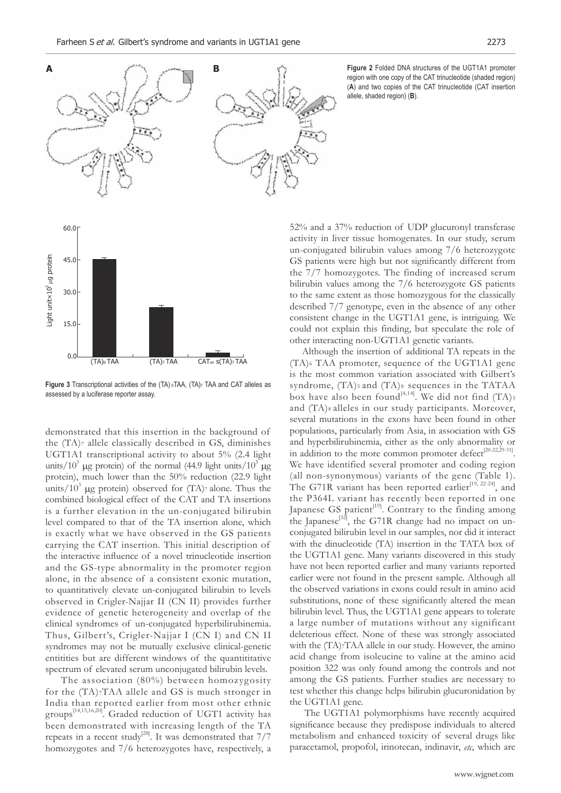

**Figure 2** Folded DNA structures of the UGT1A1 promoter region with one copy of the CAT trinucleotide (shaded region) (**A**) and two copies of the CAT trinucleotide (CAT insertion allele, shaded region) (**B**).



**Figure 3** Transcriptional activities of the (TA) 6TAA, (TA)7 TAA and CAT alleles as assessed by a luciferase reporter assay.

demonstrated that this insertion in the background of the (TA)7 allele classically described in GS, diminishes UGT1A1 transcriptional activity to about 5% (2.4 light units/10<sup>3</sup> µg protein) of the normal (44.9 light units/10<sup>3</sup> µg protein), much lower than the 50% reduction (22.9 light units/ $10^3$  µg protein) observed for (TA)7 alone. Thus the combined biological effect of the CAT and TA insertions is a further elevation in the un-conjugated bilirubin level compared to that of the TA insertion alone, which is exactly what we have observed in the GS patients carrying the CAT insertion. This initial description of the interactive influence of a novel trinucleotide insertion and the GS-type abnormality in the promoter region alone, in the absence of a consistent exonic mutation, to quantitatively elevate un-conjugated bilirubin to levels observed in Crigler-Najjar II (CN II) provides further evidence of genetic heterogeneity and overlap of the clinical syndromes of un-conjugated hyperbilirubinemia. Thus, Gilbert's, Crigler-Najjar I (CN I) and CN II syndromes may not be mutually exclusive clinical-genetic entitities but are different windows of the quantititative spectrum of elevated serum unconjugated bilirubin levels.

 The association (80%) between homozygosity for the (TA)7TAA allele and GS is much stronger in India than reported earlier from most other ethnic groups [14,15,16,20]. Graded reduction of UGT1 activity has been demonstrated with increasing length of the TA repeats in a recent study<sup>[28]</sup>. It was demonstrated that  $7/7$ homozygotes and 7/6 heterozygotes have, respectively, a

52% and a 37% reduction of UDP glucuronyl transferase activity in liver tissue homogenates. In our study, serum un-conjugated bilirubin values among 7/6 heterozygote GS patients were high but not significantly different from the 7/7 homozygotes. The finding of increased serum bilirubin values among the 7/6 heterozygote GS patients to the same extent as those homozygous for the classically described 7/7 genotype, even in the absence of any other consistent change in the UGT1A1 gene, is intriguing. We could not explain this finding, but speculate the role of other interacting non-UGT1A1 genetic variants.

 Although the insertion of additional TA repeats in the (TA)6 TAA promoter, sequence of the UGT1A1 gene is the most common variation associated with Gilbert's syndrome,  $(TA)$ <sub>5</sub> and  $(TA)$ <sub>8</sub> sequences in the TATAA box have also been found<sup>[4,14]</sup>. We did not find  $(TA)$ <sup>5</sup> and (TA)s alleles in our study participants. Moreover, several mutations in the exons have been found in other populations, particularly from Asia, in association with GS and hyperbilirubinemia, either as the only abnormality or in addition to the more common promoter defect<sup>[20-22,29-31]</sup>. We have identified several promoter and coding region (all non-synonymous) variants of the gene (Table 1). The G71R variant has been reported earlier<sup>[19, 22-24]</sup>, and the P364L variant has recently been reported in one Japanese GS patient $[19]$ . Contrary to the finding among the Japanese<sup>[32]</sup>, the G71R change had no impact on unconjugated bilirubin level in our samples, nor did it interact with the dinucleotide (TA) insertion in the TATA box of the UGT1A1 gene. Many variants discovered in this study have not been reported earlier and many variants reported earlier were not found in the present sample. Although all the observed variations in exons could result in amino acid substitutions, none of these significantly altered the mean bilirubin level. Thus, the UGT1A1 gene appears to tolerate a large number of mutations without any significant deleterious effect. None of these was strongly associated with the (TA)7TAA allele in our study. However, the amino acid change from isoleucine to valine at the amino acid position 322 was only found among the controls and not among the GS patients. Further studies are necessary to test whether this change helps bilirubin glucuronidation by the UGT1A1 gene.

 The UGT1A1 polymorphisms have recently acquired significance because they predispose individuals to altered metabolism and enhanced toxicity of several drugs like paracetamol, propofol, irinotecan, indinavir, *etc*, which are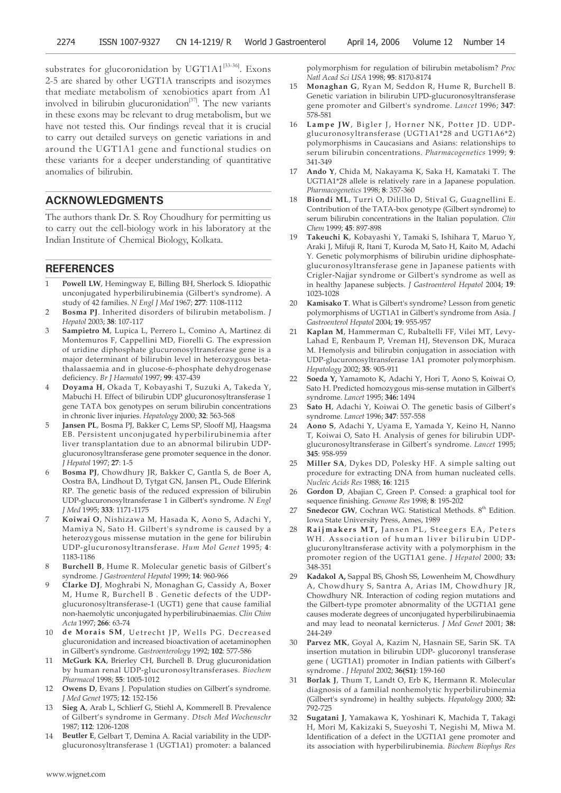substrates for glucoronidation by UGT1A1<sup>[33-36]</sup>. Exons 2-5 are shared by other UGT1A transcripts and isozymes that mediate metabolism of xenobiotics apart from A1 involved in bilirubin glucuronidation<sup>[37]</sup>. The new variants in these exons may be relevant to drug metabolism, but we have not tested this. Our findings reveal that it is crucial to carry out detailed surveys on genetic variations in and around the UGT1A1 gene and functional studies on these variants for a deeper understanding of quantitative anomalies of bilirubin.

# **ACKNOWLEDGMENTS**

The authors thank Dr. S. Roy Choudhury for permitting us to carry out the cell-biology work in his laboratory at the Indian Institute of Chemical Biology, Kolkata.

#### **REFERENCES**

- 1 **Powell LW**, Hemingway E, Billing BH, Sherlock S. Idiopathic unconjugated hyperbilirubinemia (Gilbert's syndrome). A study of 42 families. *N Engl J Med* 1967; **277**: 1108-1112
- 2 **Bosma PJ**. Inherited disorders of bilirubin metabolism. *J Hepatol* 2003; **38**: 107-117
- 3 **Sampietro M**, Lupica L, Perrero L, Comino A, Martinez di Montemuros F, Cappellini MD, Fiorelli G. The expression of uridine diphosphate glucuronosyltransferase gene is a major determinant of bilirubin level in heterozygous betathalassaemia and in glucose-6-phosphate dehydrogenase deficiency. *Br J Haematol* 1997; **99**: 437-439
- 4 **Doyama H**, Okada T, Kobayashi T, Suzuki A, Takeda Y, Mabuchi H. Effect of bilirubin UDP glucuronosyltransferase 1 gene TATA box genotypes on serum bilirubin concentrations in chronic liver injuries. *Hepatology* 2000; **32**: 563-568
- 5 **Jansen PL**, Bosma PJ, Bakker C, Lems SP, Slooff MJ, Haagsma EB. Persistent unconjugated hyperbilirubinemia after liver transplantation due to an abnormal bilirubin UDPglucuronosyltransferase gene promoter sequence in the donor. *J Hepatol* 1997; **27**: 1-5
- 6 **Bosma PJ**, Chowdhury JR, Bakker C, Gantla S, de Boer A, Oostra BA, Lindhout D, Tytgat GN, Jansen PL, Oude Elferink RP. The genetic basis of the reduced expression of bilirubin UDP-glucuronosyltransferase 1 in Gilbert's syndrome. *N Engl J Med* 1995; **333**: 1171-1175
- 7 **Koiwai O**, Nishizawa M, Hasada K, Aono S, Adachi Y, Mamiya N, Sato H. Gilbert's syndrome is caused by a heterozygous missense mutation in the gene for bilirubin UDP-glucuronosyltransferase. *Hum Mol Genet* 1995; **4**: 1183-1186
- 8 **Burchell B**, Hume R. Molecular genetic basis of Gilbert's syndrome. *J Gastroenterol Hepatol* 1999; **14**: 960-966
- 9 **Clarke DJ**, Moghrabi N, Monaghan G, Cassidy A, Boxer M, Hume R, Burchell B . Genetic defects of the UDPglucuronosyltransferase-1 (UGT1) gene that cause familial non-haemolytic unconjugated hyperbilirubinaemias. *Clin Chim Acta* 1997; **266**: 63-74
- 10 de Morais SM, Uetrecht JP, Wells PG. Decreased glucuronidation and increased bioactivation of acetaminophen in Gilbert's syndrome. *Gastroenterology* 1992; **102**: 577-586
- McGurk KA, Brierley CH, Burchell B. Drug glucuronidation by human renal UDP-glucuronosyltransferases. *Biochem Pharmacol* 1998; **55**: 1005-1012
- 12 **Owens D**, Evans J. Population studies on Gilbert's syndrome*. J Med Genet* 1975; **12**: 152-156
- 13 **Sieg A**, Arab L, Schlierf G, Stiehl A, Kommerell B. Prevalence of Gilbert's syndrome in Germany. *Dtsch Med Wochenschr* 1987; **112**: 1206-1208
- 14 **Beutler E**, Gelbart T, Demina A. Racial variability in the UDPglucuronosyltransferase 1 (UGT1A1) promoter: a balanced

polymorphism for regulation of bilirubin metabolism? *Proc Natl Acad Sci USA* 1998; **95**: 8170-8174

- 15 **Monaghan G**, Ryan M, Seddon R, Hume R, Burchell B. Genetic variation in bilirubin UPD-glucuronosyltransferase gene promoter and Gilbert's syndrome. *Lancet* 1996; **347**: 578-581
- 16 Lampe JW, Bigler J, Horner NK, Potter JD. UDPglucuronosyltransferase (UGT1A1\*28 and UGT1A6\*2) polymorphisms in Caucasians and Asians: relationships to serum bilirubin concentrations. *Pharmacogenetics* 1999; **9**: 341-349
- 17 **Ando Y**, Chida M, Nakayama K, Saka H, Kamataki T. The UGT1A1\*28 allele is relatively rare in a Japanese population. *Pharmacogenetics* 1998; **8**: 357-360
- 18 **Biondi ML**, Turri O, Dilillo D, Stival G, Guagnellini E. Contribution of the TATA-box genotype (Gilbert syndrome) to serum bilirubin concentrations in the Italian population. *Clin Chem* 1999; **45**: 897-898
- 19 **Takeuchi K**, Kobayashi Y, Tamaki S, Ishihara T, Maruo Y, Araki J, Mifuji R, Itani T, Kuroda M, Sato H, Kaito M, Adachi Y. Genetic polymorphisms of bilirubin uridine diphosphateglucuronosyltransferase gene in Japanese patients with Crigler-Najjar syndrome or Gilbert's syndrome as well as in healthy Japanese subjects. *J Gastroenterol Hepatol* 2004; **19**: 1023-1028
- 20 **Kamisako T**. What is Gilbert's syndrome? Lesson from genetic polymorphisms of UGT1A1 in Gilbert's syndrome from Asia. *J Gastroenterol Hepatol* 2004; **19**: 955-957
- 21 **Kaplan M**, Hammerman C, Rubaltelli FF, Vilei MT, Levy-Lahad E, Renbaum P, Vreman HJ, Stevenson DK, Muraca M. Hemolysis and bilirubin conjugation in association with UDP-glucuronosyltransferase 1A1 promoter polymorphism. *Hepatology* 2002; **35**: 905-911
- 22 **Soeda Y,** Yamamoto K, Adachi Y, Hori T, Aono S, Koiwai O, Sato H. Predicted homozygous mis-sense mutation in Gilbert's syndrome. *Lancet* 1995; **346:** 1494
- Sato H, Adachi Y, Koiwai O. The genetic basis of Gilbert's syndrome. *Lancet* 1996; **347**: 557-558
- 24 **Aono S**, Adachi Y, Uyama E, Yamada Y, Keino H, Nanno T, Koiwai O, Sato H. Analysis of genes for bilirubin UDPglucuronosyltransferase in Gilbert's syndrome. *Lancet* 1995; **345**: 958-959
- 25 **Miller SA**, Dykes DD, Polesky HF. A simple salting out procedure for extracting DNA from human nucleated cells. *Nucleic Acids Res* 1988; **16**: 1215
- 26 **Gordon D**, Abajian C, Green P. Consed: a graphical tool for sequence finishing. *Genome Res* 1998; **8**: 195-202
- 27 **Snedecor GW**, Cochran WG. Statistical Methods. 8<sup>th</sup> Edition. Iowa State University Press, Ames, 1989
- 28 Raijmakers MT, Jansen PL, Steegers EA, Peters WH. Association of human liver bilirubin UDPglucuronyltransferase activity with a polymorphism in the promoter region of the UGT1A1 gene. *J Hepatol* 2000; **33:** 348-351
- 29 **Kadakol A,** Sappal BS, Ghosh SS, Lowenheim M, Chowdhury A, Chowdhury S, Santra A, Arias IM, Chowdhury JR, Chowdhury NR. Interaction of coding region mutations and the Gilbert-type promoter abnormality of the UGT1A1 gene causes moderate degrees of unconjugated hyperbilirubinaemia and may lead to neonatal kernicterus. *J Med Genet* 2001; **38:** 244-249
- 30 **Parvez MK**, Goyal A, Kazim N, Hasnain SE, Sarin SK. TA insertion mutation in bilirubin UDP- glucoronyl transferase gene ( UGT1A1) promoter in Indian patients with Gilbert's syndrome *. J Hepatol* 2002; **36(S1)**: 159-160
- 31 **Borlak J**, Thum T, Landt O, Erb K, Hermann R. Molecular diagnosis of a familial nonhemolytic hyperbilirubinemia (Gilbert's syndrome) in healthy subjects. *Hepatology* 2000; **32:** 792-725
- 32 **Sugatani J**, Yamakawa K, Yoshinari K, Machida T, Takagi H, Mori M, Kakizaki S, Sueyoshi T, Negishi M, Miwa M. Identification of a defect in the UGT1A1 gene promoter and its association with hyperbilirubinemia. *Biochem Biophys Res*